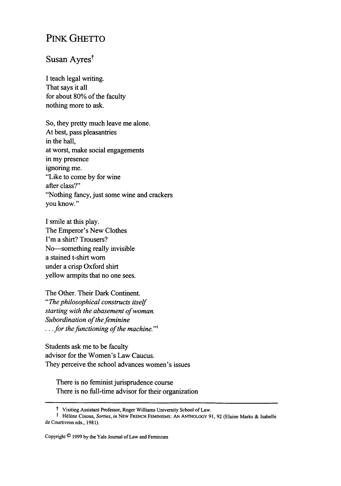## PiNK GHETTO

## Susan Ayres<sup>t</sup>

I teach legal writing. That says it all for about 80% of the faculty nothing more to ask.

So, they pretty much leave me alone. At best, pass pleasantries in the hall, at worst, make social engagements in my presence ignoring me. "Like to come by for wine after class?" "Nothing fancy, just some wine and crackers you know."

**I** smile at this play. The Emperor's New Clothes I'm a shirt? Trousers? No--something really invisible a stained t-shirt worn under a crisp Oxford shirt yellow armpits that no one sees.

The Other. Their Dark Continent. *"The philosophical constructs itself starting with the abasement of woman. Subordination of the feminine* . . *for the functioning of the machine."'*

Students ask me to be faculty advisor for the Women's Law Caucus. They perceive the school advances women's issues

There is no feminist jurisprudence course There is no full-time advisor for their organization

t Visiting Assistant Professor, Roger Williams University School of Law.

I H61ne Cixous, *Sorties, in* NEW FRENCH FEMINISMS: AN ANTHOLOGY 91, 92 (Elaine Marks & Isabelle de Courtivron eds., 1981).

Copyright **C** 1999 **by** the Yale Journal of Law and Feminism